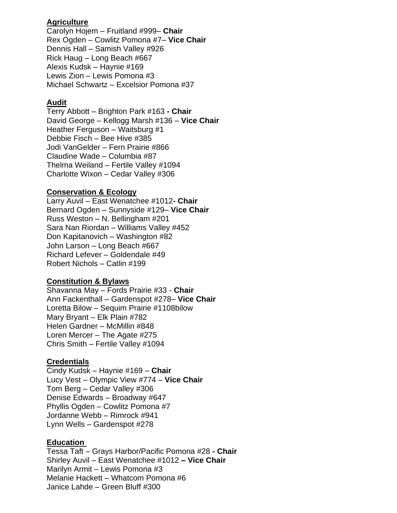## **Agriculture**

Carolyn Hojem – Fruitland #999– **Chair** Rex Ogden – Cowlitz Pomona #7– **Vice Chair** Dennis Hall – Samish Valley #926 Rick Haug – Long Beach #667 Alexis Kudsk – Haynie #169 Lewis Zion – Lewis Pomona #3 Michael Schwartz – Excelsior Pomona #37

# **Audit**

Terry Abbott – Brighton Park #163 **- Chair** David George – Kellogg Marsh #136 – **Vice Chair** Heather Ferguson – Waitsburg #1 Debbie Fisch – Bee Hive #385 Jodi VanGelder – Fern Prairie #866 Claudine Wade – Columbia #87 Thelma Weiland – Fertile Valley #1094 Charlotte Wixon – Cedar Valley #306

## **Conservation & Ecology**

Larry Auvil – East Wenatchee #1012*-* **Chair** Bernard Ogden – Sunnyside #129– **Vice Chair** Russ Weston – N. Bellingham #201 Sara Nan Riordan – Williams Valley #452 Don Kapitanovich – Washington #82 John Larson – Long Beach #667 Richard Lefever – Goldendale #49 Robert Nichols – Catlin #199

## **Constitution & Bylaws**

Shavanna May – Fords Prairie #33 - **Chair**  Ann Fackenthall – Gardenspot #278– **Vice Chair** Loretta Bilow – Sequim Prairie #1108bilow Mary Bryant – Elk Plain #782 Helen Gardner – McMillin #848 Loren Mercer – The Agate #275 Chris Smith – Fertile Valley #1094

## **Credentials**

Cindy Kudsk – Haynie #169 – **Chair** Lucy Vest – Olympic View #774 – **Vice Chair** Tom Berg – Cedar Valley #306 Denise Edwards – Broadway #647 Phyllis Ogden – Cowlitz Pomona #7 Jordanne Webb – Rimrock #941 Lynn Wells – Gardenspot #278

## **Education**

Tessa Taft – Grays Harbor/Pacific Pomona #28 **- Chair** Shirley Auvil – East Wenatchee #1012 **– Vice Chair** Marilyn Armit – Lewis Pomona #3 Melanie Hackett – Whatcom Pomona #6 Janice Lahde – Green Bluff #300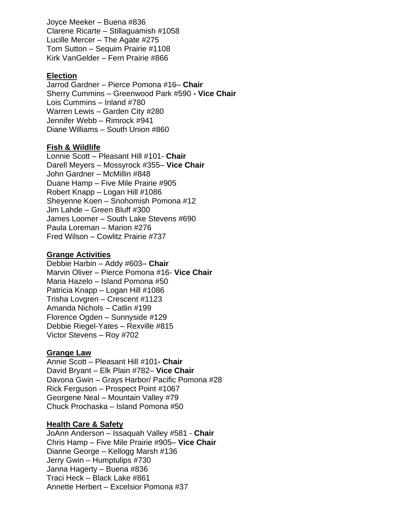Joyce Meeker – Buena #836 Clarene Ricarte – Stillaguamish #1058 Lucille Mercer – The Agate #275 Tom Sutton – Sequim Prairie #1108 Kirk VanGelder – Fern Prairie #866

#### **Election**

Jarrod Gardner – Pierce Pomona #16– **Chair** Sherry Cummins – Greenwood Park #590 **- Vice Chair** Lois Cummins – Inland #780 Warren Lewis – Garden City #280 Jennifer Webb – Rimrock #941 Diane Williams – South Union #860

### **Fish & Wildlife**

Lonnie Scott – Pleasant Hill #101- **Chair** Darell Meyers – Mossyrock #355– **Vice Chair** John Gardner – McMillin #848 Duane Hamp – Five Mile Prairie #905 Robert Knapp – Logan Hill #1086 Sheyenne Koen – Snohomish Pomona #12 Jim Lahde – Green Bluff #300 James Loomer – South Lake Stevens #690 Paula Loreman – Marion #276 Fred Wilson – Cowlitz Prairie #737

### **Grange Activities**

Debbie Harbin – Addy #603– **Chair** Marvin Oliver – Pierce Pomona #16- **Vice Chair** Maria Hazelo – Island Pomona #50 Patricia Knapp – Logan Hill #1086 Trisha Lovgren – Crescent #1123 Amanda Nichols – Catlin #199 Florence Ogden – Sunnyside #129 Debbie Riegel-Yates – Rexville #815 Victor Stevens – Roy #702

## **Grange Law**

Annie Scott – Pleasant Hill #101**- Chair** David Bryant – Elk Plain #782– **Vice Chair** Davona Gwin – Grays Harbor/ Pacific Pomona #28 Rick Ferguson – Prospect Point #1067 Georgene Neal – Mountain Valley #79 Chuck Prochaska – Island Pomona #50

## **Health Care & Safety**

JoAnn Anderson – Issaquah Valley #581 - **Chair** Chris Hamp – Five Mile Prairie #905– **Vice Chair** Dianne George – Kellogg Marsh #136 Jerry Gwin – Humptulips #730 Janna Hagerty – Buena #836 Traci Heck – Black Lake #861 Annette Herbert – Excelsior Pomona #37